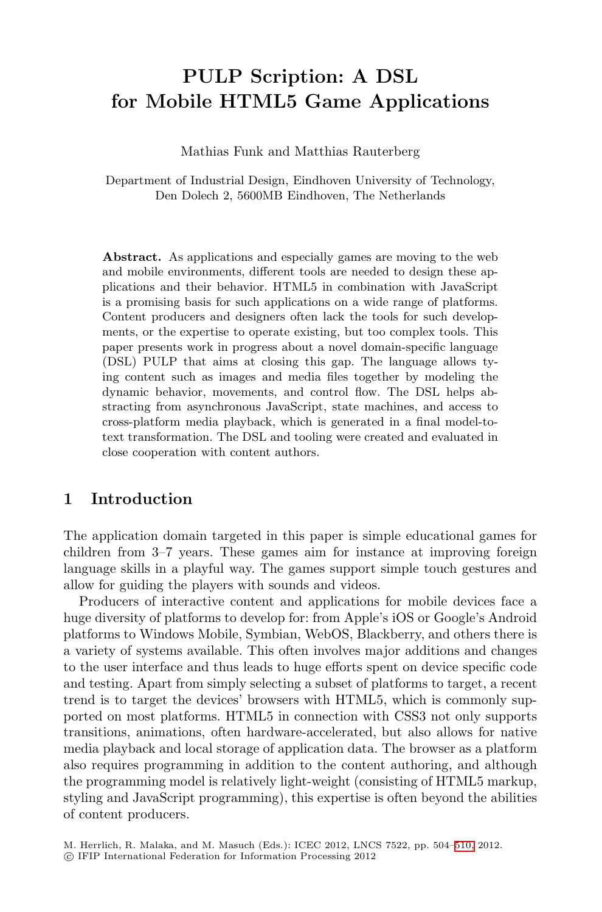# **PULP Scription: A DSL for Mobile HTML5 Game Applications**

Mathias Funk and Matthias Rauterberg

Department of Industrial Design, Eindhoven University of Technology, Den Dolech 2, 5600MB Eindhoven, The Netherlands

**Abstract.** As applications and especially games are moving to the web and mobile environments, different tools are needed to design these applications and their behavior. HTML5 in combination with JavaScript is a promising basis for such applications on a wide range of platforms. Content producers and designers often lack the tools for such developments, or the expertise to operate existing, but too complex tools. This paper presents work in progress about a novel domain-specific language (DSL) PULP that aims at closing this gap. The language allows tying content such as images and media files together by modeling the dynamic behavior, movements, and control flow. The DSL helps abstracting from asynchronous JavaScript, state machines, and access to cross-platform media playback, which is generated in a final model-totext transformation. The DSL and tooling were created and evaluated in close cooperation with content authors.

# **1 Introduction**

The application domain targeted in this paper is simple educational games for children from 3–7 years. These games aim for instance at improving foreign language skills in a playful way. The games support simple touch gestures and allow for guiding the players with sounds and videos.

Producers of interactive content and applications for mobile devices face a huge diversity of platforms to develop for: from Apple's iOS or Google's Android platforms to Windows Mobile, Symbian, WebOS, Blackberry, and others there is a variety of systems available. This often involves major additions and changes to the user interface and thus leads to huge efforts spent on device specific code and testing. Apart from simply selecting a subset of platforms to target, a recent trend is to target the devices' browsers with HTML5, which is commonly supported on most platforms. HTML5 in connecti[on w](#page-6-0)ith CSS3 not only supports transitions, animations, often hardware-accelerated, but also allows for native media playback and local storage of application data. The browser as a platform also requires programming in addition to the content authoring, and although the programming model is relatively light-weight (consisting of HTML5 markup, styling and JavaScript programming), this expertise is often beyond the abilities of content producers.

M. Herrlich, R. Malaka, and M. Masuch (Eds.): ICEC 2012, LNCS 7522, pp. 504–510, 2012.

-c IFIP International Federation for Information Processing 2012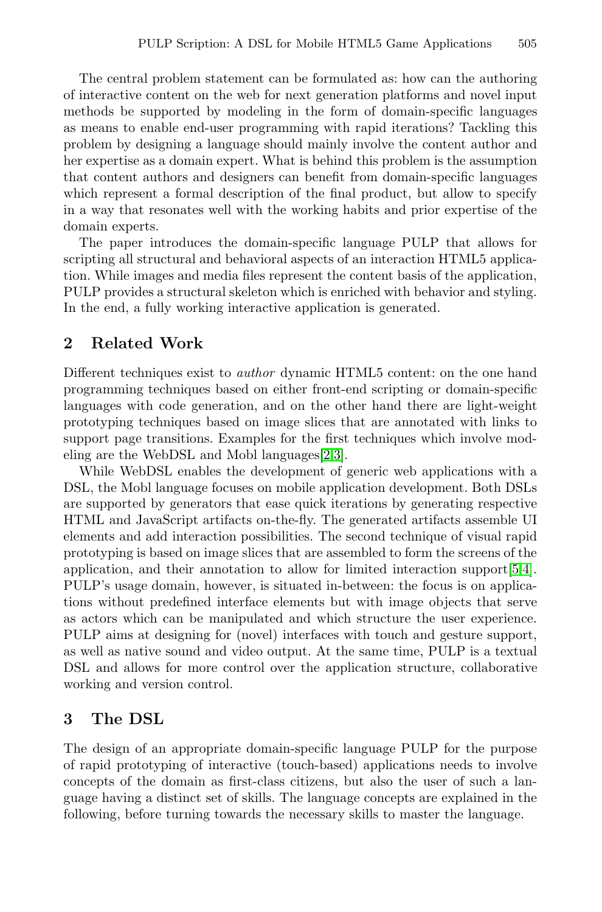The central problem statement can be formulated as: how can the authoring of interactive content on the web for next generation platforms and novel input methods be supported by modeling in the form of domain-specific languages as means to enable end-user programming with rapid iterations? Tackling this problem by designing a language should mainly involve the content author and her expertise as a domain expert. What is behind this problem is the assumption that content authors and designers can benefit from domain-specific languages which represent a formal description of the final product, but allow to specify in a way that resonates well with the working habits and prior expertise of the domain experts.

The paper introduces the domain-specific language PULP that allows for scripting all structural and behavioral aspects of an interaction HTML5 application. While images and media files represent the content basis of the application, PULP provides a structural skeleton which is enriched with behavior and styling. In the end, a fully working interactive application is generated.

### **2 Related Work**

Different techniques exist to *author* dynamic HTML5 content: on the one hand programming techniques based on either front-end scripting or domain-specific languages with code generation, and on the other hand there are light-weight prototyping techniques based on image slices that are annotated with links to support page transitions. Examples for the first techniq[ues](#page-6-1) [w](#page-6-2)hich involve modeling are the WebDSL and Mobl languages[2,3].

While WebDSL enables the development of generic web applications with a DSL, the Mobl language focuses on mobile application development. Both DSLs are supported by generators that ease quick iterations by generating respective HTML and JavaScript artifacts on-the-fly. The generated artifacts assemble UI elements and add interaction possibilities. The second technique of visual rapid prototyping is based on image slices that are assembled to form the screens of the application, and their annotation to allow for limited interaction support[5,4]. PULP's usage domain, however, is situated in-between: the focus is on applications without predefined interface elements but with image objects that serve as actors which can be manipulated and which structure the user experience. PULP aims at designing for (novel) interfaces with touch and gesture support, as well as native sound and video output. At the same time, PULP is a textual DSL and allows for more control over the application structure, collaborative working and version control.

# **3 The DSL**

The design of an appropriate domain-specific language PULP for the purpose of rapid prototyping of interactive (touch-based) applications needs to involve concepts of the domain as first-class citizens, but also the user of such a language having a distinct set of skills. The language concepts are explained in the following, before turning towards the necessary skills to master the language.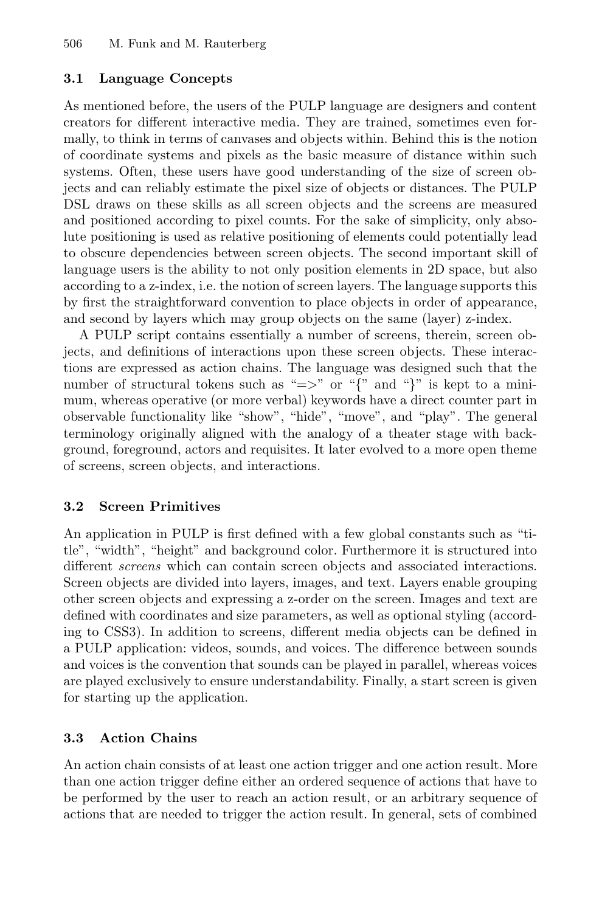#### 3.1 Language Concepts **3.1 Language Concepts**

As mentioned before, the users of the PULP language are designers and content creators for different interactive media. They are trained, sometimes even formally, to think in terms of canvases and objects within. Behind this is the notion of coordinate systems and pixels as the basic measure of distance within such systems. Often, these users have good understanding of the size of screen objects and can reliably estimate the pixel size of objects or distances. The PULP DSL draws on these skills as all screen objects and the screens are measured and positioned according to pixel counts. For the sake of simplicity, only absolute positioning is used as relative positioning of elements could potentially lead to obscure dependencies between screen objects. The second important skill of language users is the ability to not only position elements in 2D space, but also according to a z-index, i.e. the notion of screen layers. The language supports this by first the straightforward convention to place objects in order of appearance, and second by layers which may group objects on the same (layer) z-index.

A PULP script contains essentially a number of screens, therein, screen objects, and definitions of interactions upon these screen objects. These interactions are expressed as action chains. The language was designed such that the number of structural tokens such as "=>" or "*{*" and "*}*" is kept to a minimum, whereas operative (or more verbal) keywords have a direct counter part in observable functionality like "show", "hide", "move", and "play". The general terminology originally aligned with the analogy of a theater stage with background, foreground, actors and requisites. It later evolved to a more open theme of screens, screen objects, and interactions.

# $3.2$

An application in PULP is first defined with a few global constants such as "title", "width", "height" and background color. Furthermore it is structured into different *screens* which can contain screen objects and associated interactions. Screen objects are divided into layers, images, and text. Layers enable grouping other screen objects and expressing a z-order on the screen. Images and text are defined with coordinates and size parameters, as well as optional styling (according to CSS3). In addition to screens, different media objects can be defined in a PULP application: videos, sounds, and voices. The difference between sounds and voices is the convention that sounds can be played in parallel, whereas voices are played exclusively to ensure understandability. Finally, a start screen is given for starting up the application.

# 3.3

An action chain consists of at least one action trigger and one action result. More than one action trigger define either an ordered sequence of actions that have to be performed by the user to reach an action result, or an arbitrary sequence of actions that are needed to trigger the action result. In general, sets of combined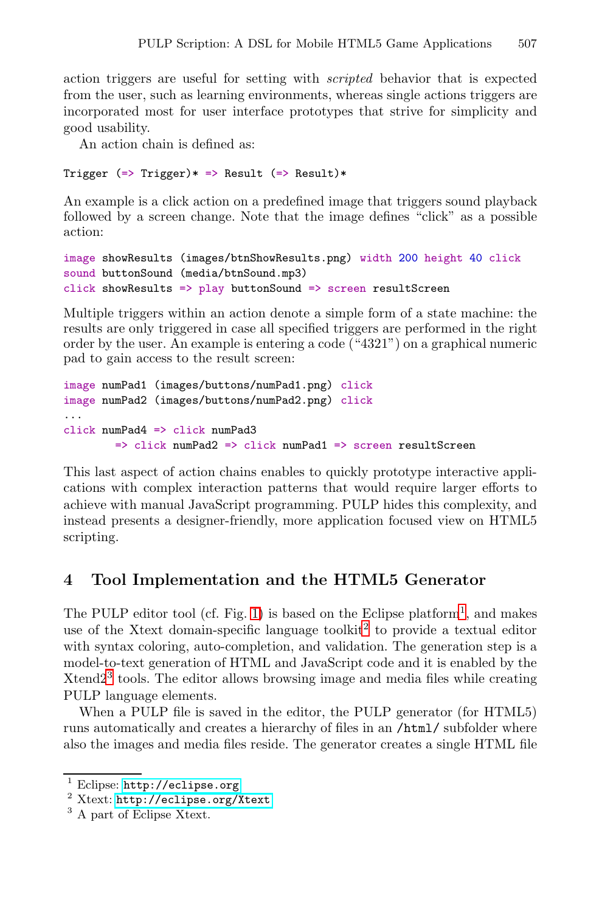action triggers are useful for setting with *scripted* behavior that is expected from the user, such as learning environments, whereas single actions triggers are incorporated most for user interface prototypes that strive for simplicity and good usability.

An action chain is defined as:

#### Trigger  $(=$  Trigger)\* = Result  $(=$  Result)\*

An example is a click action on a predefined image that triggers sound playback followed by a screen change. Note that the image defines "click" as a possible action:

```
image showResults (images/btnShowResults.png) width 200 height 40 click
sound buttonSound (media/btnSound.mp3)
click showResults => play buttonSound => screen resultScreen
```
Multiple triggers within an action denote a simple form of a state machine: the results are only triggered in case all specified triggers are performed in the right order by the user. An example is entering a code  $(4321)$  on a graphical numeric pad to gain access to the result screen:

```
image numPad1 (images/buttons/numPad1.png) click
image numPad2 (images/buttons/numPad2.png) click
...
click numPad4 => click numPad3
       => click numPad2 => click numPad1 => screen resultScreen
```
This last aspect of action chains enables to quickly prototype interactive applications with [co](#page-4-0)mplex interaction patterns that [w](#page-3-0)ould require larger efforts to achieve with manual JavaScript [pr](#page-3-1)ogramming. PULP hides this complexity, and instead presents a designer-friendly, more application focused view on HTML5 scripting.

# <span id="page-3-1"></span><span id="page-3-0"></span>**4 Tool Implementation and the HTML5 Generator**

The PULP editor tool (cf. Fig. 1) is based on the Eclipse platform<sup>1</sup>, and makes use of the Xtext domain-specific language toolkit<sup>2</sup> to provide a textual editor with syntax coloring, auto-completion, and validation. The generation step is a [model-to-tex](http://eclipse.org)t generation of HTML and JavaScript code and it is enabled by the  $Xtend<sup>23</sup>$  [tools. Th](http://eclipse.org/Xtext)e editor allows browsing image and media files while creating PULP language elements.

When a PULP file is saved in the editor, the PULP generator (for HTML5) runs automatically and creates a hierarchy of files in an /html/ subfolder where also the images and media files reside. The generator creates a single HTML file

<sup>1</sup> Eclipse: http://eclipse.org

<sup>2</sup> Xtext: http://eclipse.org/Xtext

<sup>3</sup> A part of Eclipse Xtext.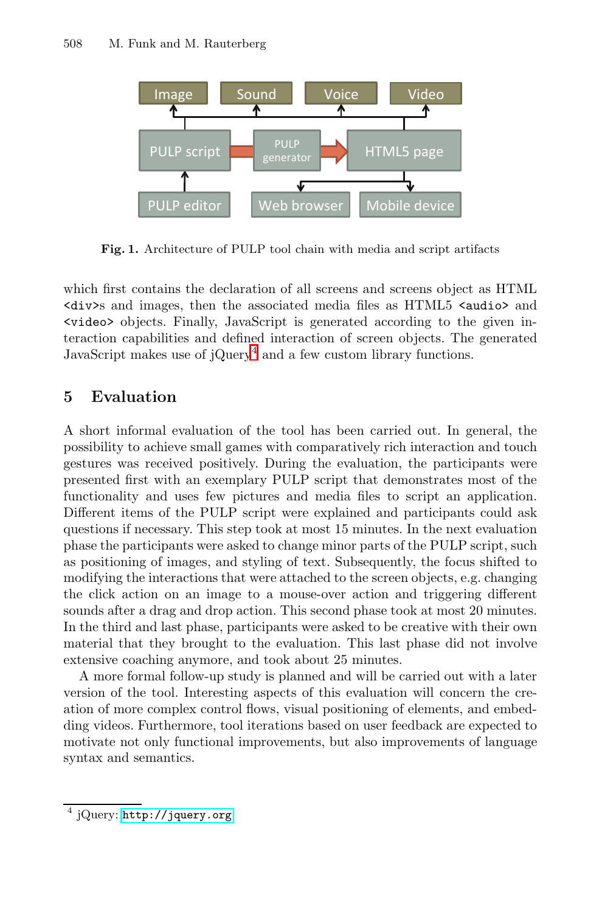#### <span id="page-4-0"></span>508 M. Funk and M. Rauterberg



**Fig. 1.** Architecture of PULP tool chain with media and script artifacts

which first contains the declaration of all screens and screens object as HTML  $\langle \text{div} \rangle$  and images, then the associated media files as HTML5  $\langle \text{audio} \rangle$  and <video> objects. Finally, JavaScript is generated according to the given interaction capabilities and defined interaction of screen objects. The generated JavaScript makes use of  $iQu$ ery<sup>4</sup> and a few custom library functions.

# **5 Evaluation**

A short informal evaluation of the tool has been carried out. In general, the possibility to achieve small games with comparatively rich interaction and touch gestures was received positively. During the evaluation, the participants were presented first with an exemplary PULP script that demonstrates most of the functionality and uses few pictures and media files to script an application. Different items of the PULP script were explained and participants could ask questions if necessary. This step took at most 15 minutes. In the next evaluation phase the participants were asked to change minor parts of the PULP script, such as positioning of images, and styling of text. Subsequently, the focus shifted to modifying the interactions that were attached to the screen objects, e.g. changing the click action on an image to a mouse-over action and triggering different sounds after a drag and drop action. This second phase took at most 20 minutes. In the third and last phase, participants were asked to be creative with their own material that they brought to the evaluation. This last phase did not involve extensive coaching anymore, and took about 25 minutes.

A more formal follow-up study is planned and will be carried out with a later [version of t](http://jquery.org)he tool. Interesting aspects of this evaluation will concern the creation of more complex control flows, visual positioning of elements, and embedding videos. Furthermore, tool iterations based on user feedback are expected to motivate not only functional improvements, but also improvements of language syntax and semantics.

<sup>4</sup> jQuery: http://jquery.org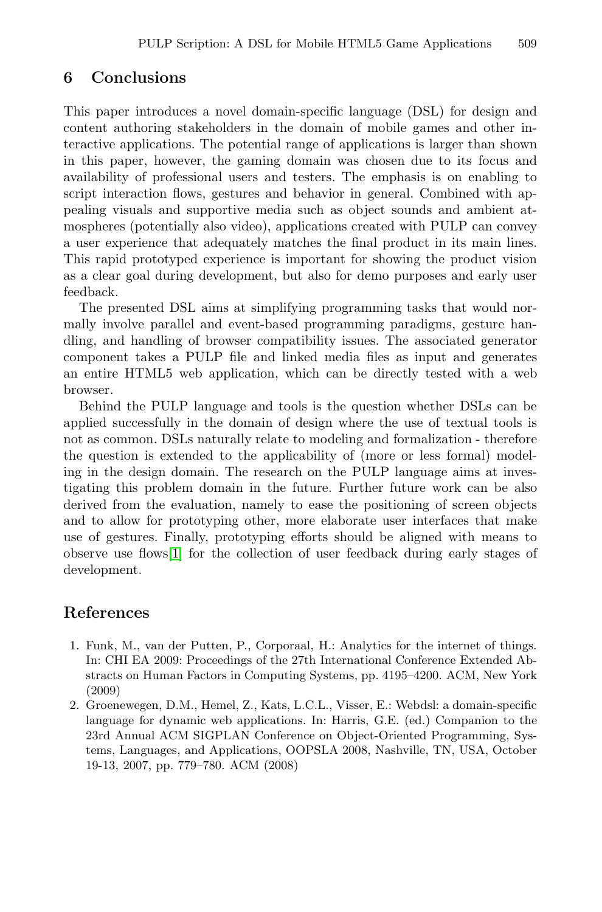# **6 Conclusions**

This paper introduces a novel domain-specific language (DSL) for design and content authoring stakeholders in the domain of mobile games and other interactive applications. The potential range of applications is larger than shown in this paper, however, the gaming domain was chosen due to its focus and availability of professional users and testers. The emphasis is on enabling to script interaction flows, gestures and behavior in general. Combined with appealing visuals and supportive media such as object sounds and ambient atmospheres (potentially also video), applications created with PULP can convey a user experience that adequately matches the final product in its main lines. This rapid prototyped experience is important for showing the product vision as a clear goal during development, but also for demo purposes and early user feedback.

The presented DSL aims at simplifying programming tasks that would normally involve parallel and event-based programming paradigms, gesture handling, and handling of browser compatibility issues. The associated generator component takes a PULP file and linked media files as input and generates an entire HTML5 web application, which can be directly tested with a web browser.

<span id="page-5-0"></span>Behind the PULP language and tools is the question whether DSLs can be [ap](#page-5-0)plied successfully in the domain of design where the use of textual tools is not as common. DSLs naturally relate to modeling and formalization - therefore the question is extended to the applicability of (more or less formal) modeling in the design domain. The research on the PULP language aims at investigating this problem domain in the future. Further future work can be also derived from the evaluation, namely to ease the positioning of screen objects and to allow for prototyping other, more elaborate user interfaces that make use of gestures. Finally, prototyping efforts should be aligned with means to observe use flows[1] for the collection of user feedback during early stages of development.

# **References**

- 1. Funk, M., van der Putten, P., Corporaal, H.: Analytics for the internet of things. In: CHI EA 2009: Proceedings of the 27th International Conference Extended Abstracts on Human Factors in Computing Systems, pp. 4195–4200. ACM, New York (2009)
- 2. Groenewegen, D.M., Hemel, Z., Kats, L.C.L., Visser, E.: Webdsl: a domain-specific language for dynamic web applications. In: Harris, G.E. (ed.) Companion to the 23rd Annual ACM SIGPLAN Conference on Object-Oriented Programming, Systems, Languages, and Applications, OOPSLA 2008, Nashville, TN, USA, October 19-13, 2007, pp. 779–780. ACM (2008)